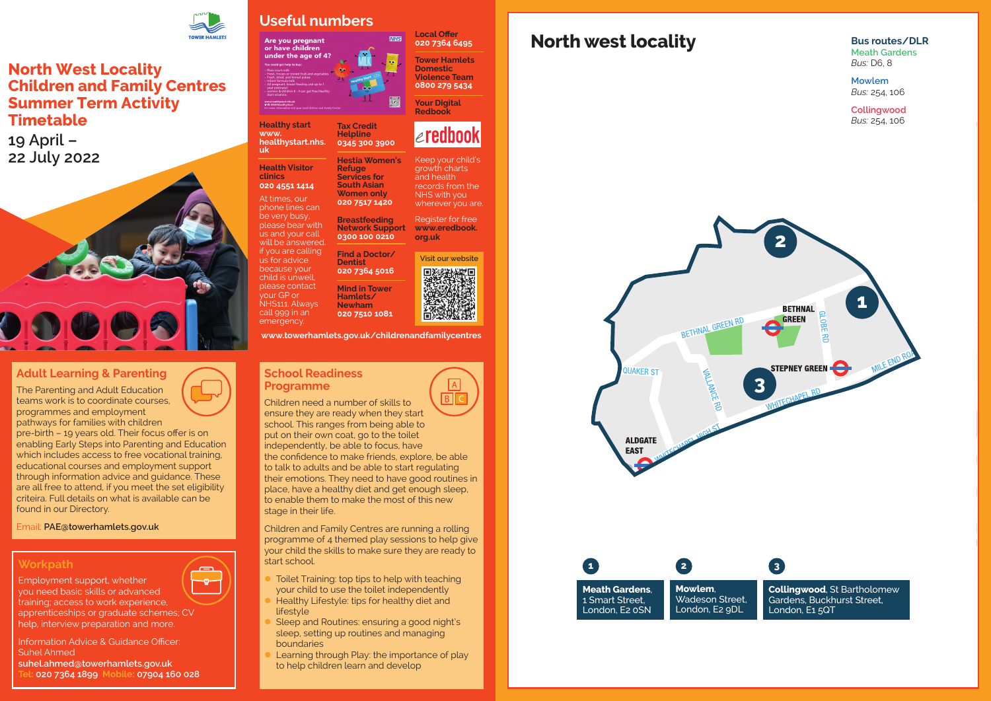

# **North west locality**

BETHNAL GREEN RD **QUAKER ST ALDGATE EAST** 

> **Mowlem**, Wadeson Street, London, E2 9DL



**1 2 3 Collingwood**, St Bartholomew Gardens, Buckhurst Street, London, E1 5QT

**Meath Gardens**, 1 Smart Street, London, E2 0SN

**Bus routes/DLR Meath Gardens** *Bus:* D6, 8

**Mowlem** *Bus:* 254, 106

**Collingwood** *Bus:* 254, 106

#### **School Readiness Programme**

Children need a number of skills to ensure they are ready when they start school. This ranges from being able to put on their own coat, go to the toilet independently, be able to focus, have the confidence to make friends, explore, be able to talk to adults and be able to start regulating their emotions. They need to have good routines in place, have a healthy diet and get enough sleep, to enable them to make the most of this new stage in their life.

- Toilet Training: top tips to help with teaching your child to use the toilet independently
- Healthy Lifestyle: tips for healthy diet and lifestyle
- Sleep and Routines: ensuring a good night's sleep, setting up routines and managing boundaries
- Learning through Play: the importance of play to help children learn and develop

Children and Family Centres are running a rolling programme of 4 themed play sessions to help give your child the skills to make sure they are ready to start school.

### **Adult Learning & Parenting**

The Parenting and Adult Education teams work is to coordinate courses, programmes and employment pathways for families with children

pre-birth – 19 years old. Their focus offer is on enabling Early Steps into Parenting and Education which includes access to free vocational training. educational courses and employment support through information advice and guidance. These are all free to attend, if you meet the set eligibility criteira. Full details on what is available can be found in our Directory.

Email: **[PAE@towerhamlets.gov.uk](mailto:PAE@towerhamlets.gov.uk)**

### **Workpath**

 $\overline{ }$ -o-

Employment support, whether

you need basic skills or advanced training; access to work experience, apprenticeships or graduate schemes; CV help, interview preparation and more.

Information Advice & Guidance Officer: Suhel Ahmed **suhel.ahmed@towerhamlets.gov.uk Tel: 020 7364 1899 Mobile: 07904 160 028**



## **North West Locality Children and Family Centres Summer Term Activity Timetable**

**19 April – 22 July 2022**



## **Useful numbers**

Are you pregnant<br>or have children under the age of 4?

**Healthy start [www.](http://www.healthystart.nhs.uk) [healthystart.nhs.](http://www.healthystart.nhs.uk) [uk](http://www.healthystart.nhs.uk)**

**Health Visitor clinics** 

**020 4551 1414** At times, our phone lines can be very busy, please bear with us and your call will be answered. if you are calling us for advice because your child is unwell, please contact your GP or NHS111. Always call 999 in an

**Tax Credit Helpline 0345 300 3900**

**Hestia Women's** 

**Refuge Services for South Asian Women only 020 7517 1420**

emergency. **Hamlets/ Newham 020 7510 1081**

**Breastfeeding Network Support 0300 100 0210**

**Find a Doctor/ Dentist**

**020 7364 5016**

**Mind in Tower** 

**Local Offer 020 7364 6495**

**NHS** 

**Tower Hamlets Domestic Violence Team 0800 279 5434**

**Your Digital Redbook** 

Keep your child's growth charts and health records from the NHS with you wherever you are. Register for free **[www.eredbook.](http://www.eredbook.org.uk)**

 $\epsilon$ redbook

**[org.uk](http://www.eredbook.org.uk)**

**[www.towerhamlets.gov.uk/childrenandfamilycentres](http://www.towerhamlets.gov.uk/childrenandfamilycentres)**

**Visit our website**

回答器械塑画